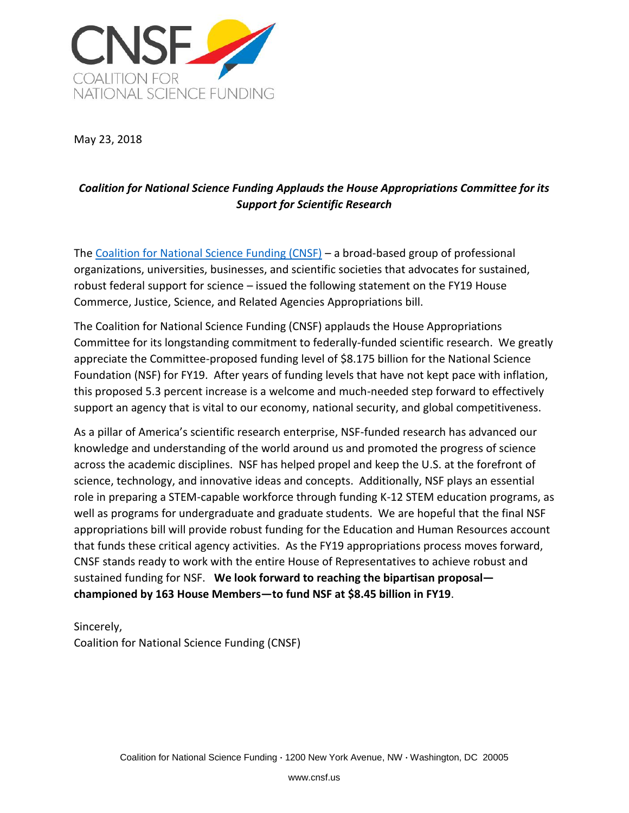

May 23, 2018

## *Coalition for National Science Funding Applauds the House Appropriations Committee for its Support for Scientific Research*

The Coalition [for National Science Funding \(CNSF\)](https://cnsf.us/) – a broad-based group of professional organizations, universities, businesses, and scientific societies that advocates for sustained, robust federal support for science – issued the following statement on the FY19 House Commerce, Justice, Science, and Related Agencies Appropriations bill.

The Coalition for National Science Funding (CNSF) applauds the House Appropriations Committee for its longstanding commitment to federally-funded scientific research. We greatly appreciate the Committee-proposed funding level of \$8.175 billion for the National Science Foundation (NSF) for FY19. After years of funding levels that have not kept pace with inflation, this proposed 5.3 percent increase is a welcome and much-needed step forward to effectively support an agency that is vital to our economy, national security, and global competitiveness.

As a pillar of America's scientific research enterprise, NSF-funded research has advanced our knowledge and understanding of the world around us and promoted the progress of science across the academic disciplines. NSF has helped propel and keep the U.S. at the forefront of science, technology, and innovative ideas and concepts. Additionally, NSF plays an essential role in preparing a STEM-capable workforce through funding K-12 STEM education programs, as well as programs for undergraduate and graduate students. We are hopeful that the final NSF appropriations bill will provide robust funding for the Education and Human Resources account that funds these critical agency activities. As the FY19 appropriations process moves forward, CNSF stands ready to work with the entire House of Representatives to achieve robust and sustained funding for NSF. **We look forward to reaching the bipartisan proposal championed by 163 House Members—to fund NSF at \$8.45 billion in FY19**.

## Sincerely,

Coalition for National Science Funding (CNSF)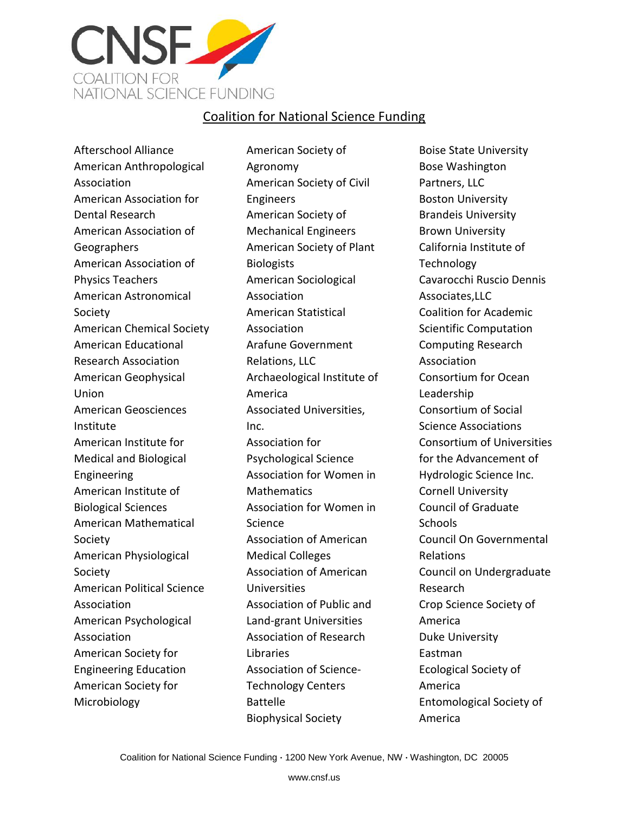

## Coalition for National Science Funding

Afterschool Alliance American Anthropological Association American Association for Dental Research American Association of Geographers American Association of Physics Teachers American Astronomical Society American Chemical Society American Educational Research Association American Geophysical Union American Geosciences Institute American Institute for Medical and Biological Engineering American Institute of Biological Sciences American Mathematical Society American Physiological Society American Political Science Association American Psychological Association American Society for Engineering Education American Society for Microbiology

American Society of Agronomy American Society of Civil Engineers American Society of Mechanical Engineers American Society of Plant **Biologists** American Sociological Association American Statistical Association Arafune Government Relations, LLC Archaeological Institute of America Associated Universities, Inc. Association for Psychological Science Association for Women in Mathematics Association for Women in Science Association of American Medical Colleges Association of American Universities Association of Public and Land-grant Universities Association of Research Libraries Association of Science-Technology Centers Battelle Biophysical Society

Boise State University Bose Washington Partners, LLC Boston University Brandeis University Brown University California Institute of Technology Cavarocchi Ruscio Dennis Associates,LLC Coalition for Academic Scientific Computation Computing Research Association Consortium for Ocean Leadership Consortium of Social Science Associations Consortium of Universities for the Advancement of Hydrologic Science Inc. Cornell University Council of Graduate Schools Council On Governmental Relations Council on Undergraduate Research Crop Science Society of America Duke University Eastman Ecological Society of America Entomological Society of America